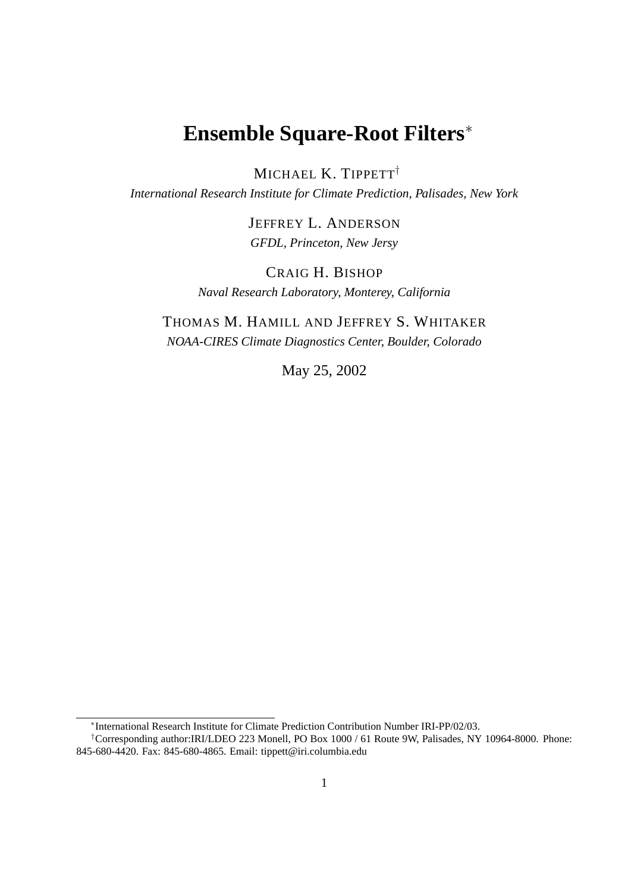# **Ensemble Square-Root Filters**<sup>∗</sup>

MICHAEL K. TIPPETT<sup>†</sup>

*International Research Institute for Climate Prediction, Palisades, New York*

JEFFREY L. ANDERSON *GFDL, Princeton, New Jersy*

CRAIG H. BISHOP *Naval Research Laboratory, Monterey, California*

THOMAS M. HAMILL AND JEFFREY S. WHITAKER *NOAA-CIRES Climate Diagnostics Center, Boulder, Colorado*

May 25, 2002

<sup>∗</sup> International Research Institute for Climate Prediction Contribution Number IRI-PP/02/03.

<sup>†</sup>Corresponding author:IRI/LDEO 223 Monell, PO Box 1000 / 61 Route 9W, Palisades, NY 10964-8000. Phone: 845-680-4420. Fax: 845-680-4865. Email: tippett@iri.columbia.edu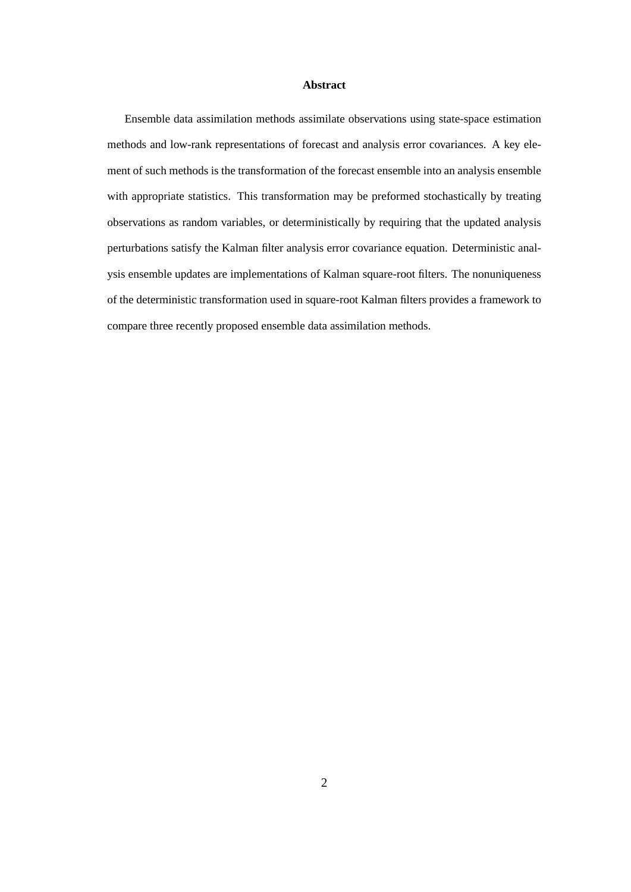#### **Abstract**

Ensemble data assimilation methods assimilate observations using state-space estimation methods and low-rank representations of forecast and analysis error covariances. A key element of such methods is the transformation of the forecast ensemble into an analysis ensemble with appropriate statistics. This transformation may be preformed stochastically by treating observations as random variables, or deterministically by requiring that the updated analysis perturbations satisfy the Kalman filter analysis error covariance equation. Deterministic analysis ensemble updates are implementations of Kalman square-root filters. The nonuniqueness of the deterministic transformation used in square-root Kalman filters provides a framework to compare three recently proposed ensemble data assimilation methods.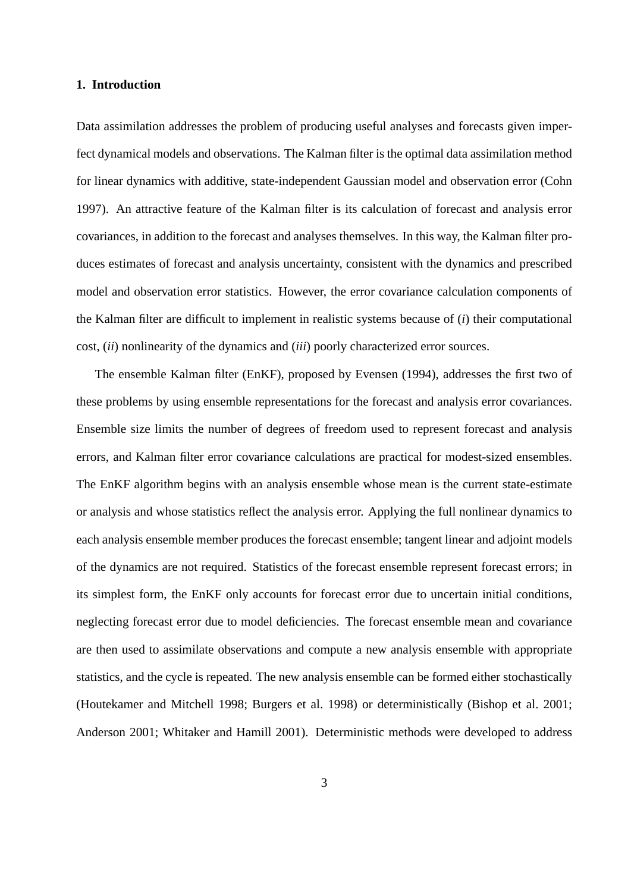# **1. Introduction**

Data assimilation addresses the problem of producing useful analyses and forecasts given imperfect dynamical models and observations. The Kalman filter is the optimal data assimilation method for linear dynamics with additive, state-independent Gaussian model and observation error (Cohn 1997). An attractive feature of the Kalman filter is its calculation of forecast and analysis error covariances, in addition to the forecast and analyses themselves. In this way, the Kalman filter produces estimates of forecast and analysis uncertainty, consistent with the dynamics and prescribed model and observation error statistics. However, the error covariance calculation components of the Kalman filter are difficult to implement in realistic systems because of (*i*) their computational cost, (*ii*) nonlinearity of the dynamics and (*iii*) poorly characterized error sources.

The ensemble Kalman filter (EnKF), proposed by Evensen (1994), addresses the first two of these problems by using ensemble representations for the forecast and analysis error covariances. Ensemble size limits the number of degrees of freedom used to represent forecast and analysis errors, and Kalman filter error covariance calculations are practical for modest-sized ensembles. The EnKF algorithm begins with an analysis ensemble whose mean is the current state-estimate or analysis and whose statistics reflect the analysis error. Applying the full nonlinear dynamics to each analysis ensemble member produces the forecast ensemble; tangent linear and adjoint models of the dynamics are not required. Statistics of the forecast ensemble represent forecast errors; in its simplest form, the EnKF only accounts for forecast error due to uncertain initial conditions, neglecting forecast error due to model deficiencies. The forecast ensemble mean and covariance are then used to assimilate observations and compute a new analysis ensemble with appropriate statistics, and the cycle is repeated. The new analysis ensemble can be formed either stochastically (Houtekamer and Mitchell 1998; Burgers et al. 1998) or deterministically (Bishop et al. 2001; Anderson 2001; Whitaker and Hamill 2001). Deterministic methods were developed to address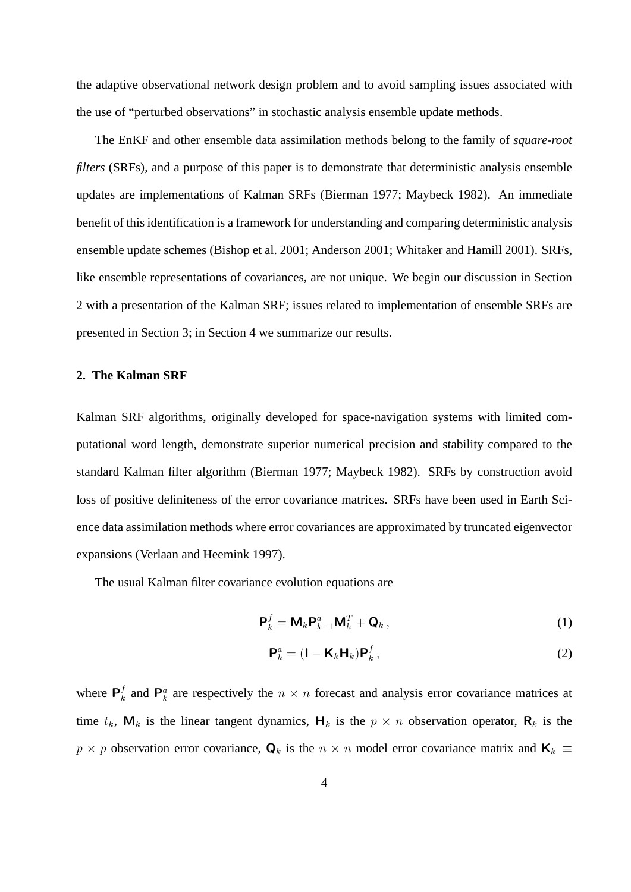the adaptive observational network design problem and to avoid sampling issues associated with the use of "perturbed observations" in stochastic analysis ensemble update methods.

The EnKF and other ensemble data assimilation methods belong to the family of *square-root filters* (SRFs), and a purpose of this paper is to demonstrate that deterministic analysis ensemble updates are implementations of Kalman SRFs (Bierman 1977; Maybeck 1982). An immediate benefit of this identification is a framework for understanding and comparing deterministic analysis ensemble update schemes (Bishop et al. 2001; Anderson 2001; Whitaker and Hamill 2001). SRFs, like ensemble representations of covariances, are not unique. We begin our discussion in Section 2 with a presentation of the Kalman SRF; issues related to implementation of ensemble SRFs are presented in Section 3; in Section 4 we summarize our results.

## **2. The Kalman SRF**

Kalman SRF algorithms, originally developed for space-navigation systems with limited computational word length, demonstrate superior numerical precision and stability compared to the standard Kalman filter algorithm (Bierman 1977; Maybeck 1982). SRFs by construction avoid loss of positive definiteness of the error covariance matrices. SRFs have been used in Earth Science data assimilation methods where error covariances are approximated by truncated eigenvector expansions (Verlaan and Heemink 1997).

The usual Kalman filter covariance evolution equations are

$$
\mathbf{P}_k^f = \mathbf{M}_k \mathbf{P}_{k-1}^a \mathbf{M}_k^T + \mathbf{Q}_k, \qquad (1)
$$

$$
\mathbf{P}_k^a = (\mathbf{I} - \mathbf{K}_k \mathbf{H}_k) \mathbf{P}_k^f, \tag{2}
$$

where  $\mathbf{P}_k^f$  $k \nvert k$  and  $P_k^a$  are respectively the  $n \times n$  forecast and analysis error covariance matrices at time  $t_k$ ,  $\mathbf{M}_k$  is the linear tangent dynamics,  $\mathbf{H}_k$  is the  $p \times n$  observation operator,  $\mathbf{R}_k$  is the  $p \times p$  observation error covariance,  $\mathbf{Q}_k$  is the  $n \times n$  model error covariance matrix and  $\mathbf{K}_k \equiv$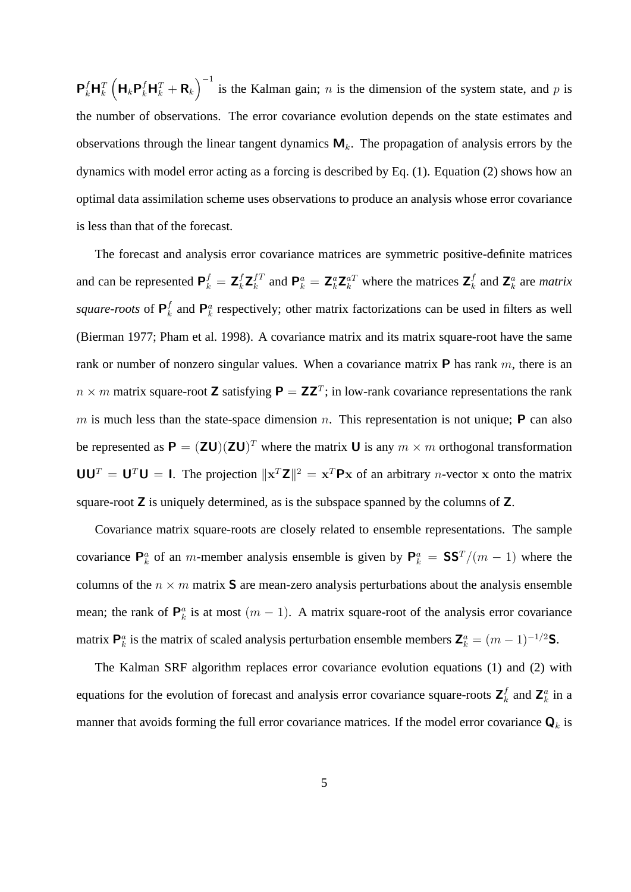$P_k^f H_k^T (H_k P_k^f H_k^T + R_k)^{-1}$  is the Kalman gain; *n* is the dimension of the system state, and *p* is the number of observations. The error covariance evolution depends on the state estimates and observations through the linear tangent dynamics  $M_k$ . The propagation of analysis errors by the dynamics with model error acting as a forcing is described by Eq. (1). Equation (2) shows how an optimal data assimilation scheme uses observations to produce an analysis whose error covariance is less than that of the forecast.

The forecast and analysis error covariance matrices are symmetric positive-definite matrices and can be represented  $P_k^f = \mathbf{Z}_k^f \mathbf{Z}_k^{fT}$  $k_t^{TT}$  and  $\mathbf{P}_k^a = \mathbf{Z}_k^a \mathbf{Z}_k^{aT}$  where the matrices  $\mathbf{Z}_k^f$  $\mathbf{z}_k^f$  and  $\mathbf{Z}_k^a$  are *matrix square-roots* of  $P_k^f$  $\mathbf{F}_k^f$  and  $\mathbf{P}_k^a$  respectively; other matrix factorizations can be used in filters as well (Bierman 1977; Pham et al. 1998). A covariance matrix and its matrix square-root have the same rank or number of nonzero singular values. When a covariance matrix  $P$  has rank m, there is an  $n \times m$  matrix square-root **Z** satisfying  $P = ZZ^{T}$ ; in low-rank covariance representations the rank m is much less than the state-space dimension n. This representation is not unique; **P** can also be represented as  $P = (ZU)(ZU)^T$  where the matrix U is any  $m \times m$  orthogonal transformation  $UU^T = U^T U = I$ . The projection  $||x^T Z||^2 = x^T P x$  of an arbitrary *n*-vector x onto the matrix square-root  $Z$  is uniquely determined, as is the subspace spanned by the columns of  $Z$ .

Covariance matrix square-roots are closely related to ensemble representations. The sample covariance  $P_k^a$  of an m-member analysis ensemble is given by  $P_k^a = SS^T/(m-1)$  where the columns of the  $n \times m$  matrix **S** are mean-zero analysis perturbations about the analysis ensemble mean; the rank of  $\mathbf{P}_k^a$  is at most  $(m - 1)$ . A matrix square-root of the analysis error covariance matrix  $\mathbf{P}_k^a$  is the matrix of scaled analysis perturbation ensemble members  $\mathbf{Z}_k^a = (m-1)^{-1/2} \mathbf{S}$ .

The Kalman SRF algorithm replaces error covariance evolution equations (1) and (2) with equations for the evolution of forecast and analysis error covariance square-roots  $\mathsf{Z}_k^f$  $\mathbf{z}_k^f$  and  $\mathbf{Z}_k^a$  in a manner that avoids forming the full error covariance matrices. If the model error covariance  $\mathbf{Q}_k$  is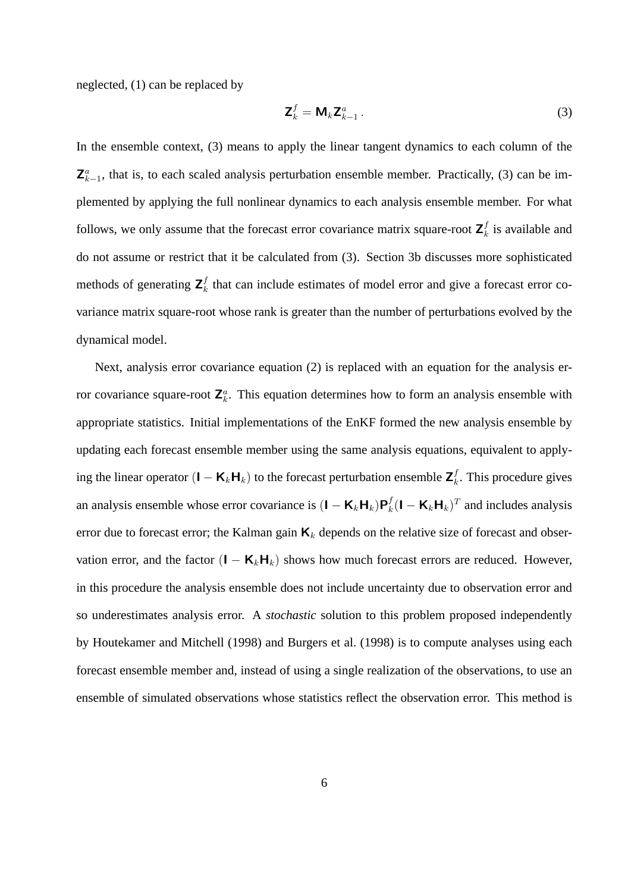neglected, (1) can be replaced by

$$
\mathbf{Z}_k^f = \mathbf{M}_k \mathbf{Z}_{k-1}^a \,. \tag{3}
$$

In the ensemble context, (3) means to apply the linear tangent dynamics to each column of the  $\mathsf{Z}_{k-1}^a$ , that is, to each scaled analysis perturbation ensemble member. Practically, (3) can be implemented by applying the full nonlinear dynamics to each analysis ensemble member. For what follows, we only assume that the forecast error covariance matrix square-root  $\mathsf{Z}_k^f$  $\frac{J}{k}$  is available and do not assume or restrict that it be calculated from (3). Section 3b discusses more sophisticated methods of generating  $\mathsf{Z}_{k}^{f}$  $k<sub>k</sub>$  that can include estimates of model error and give a forecast error covariance matrix square-root whose rank is greater than the number of perturbations evolved by the dynamical model.

Next, analysis error covariance equation (2) is replaced with an equation for the analysis error covariance square-root  $\mathbb{Z}_k^a$ . This equation determines how to form an analysis ensemble with appropriate statistics. Initial implementations of the EnKF formed the new analysis ensemble by updating each forecast ensemble member using the same analysis equations, equivalent to applying the linear operator  $(I - K_k H_k)$  to the forecast perturbation ensemble  $\mathbf{Z}_k^f$  $k<sub>k</sub>$ . This procedure gives an analysis ensemble whose error covariance is  $(I - K_k H_k)P_k^f$  $k_k^f$ (I –  $\mathbf{K}_k \mathbf{H}_k$ )<sup>T</sup> and includes analysis error due to forecast error; the Kalman gain  $\mathbf{K}_k$  depends on the relative size of forecast and observation error, and the factor  $(I - K_k H_k)$  shows how much forecast errors are reduced. However, in this procedure the analysis ensemble does not include uncertainty due to observation error and so underestimates analysis error. A *stochastic* solution to this problem proposed independently by Houtekamer and Mitchell (1998) and Burgers et al. (1998) is to compute analyses using each forecast ensemble member and, instead of using a single realization of the observations, to use an ensemble of simulated observations whose statistics reflect the observation error. This method is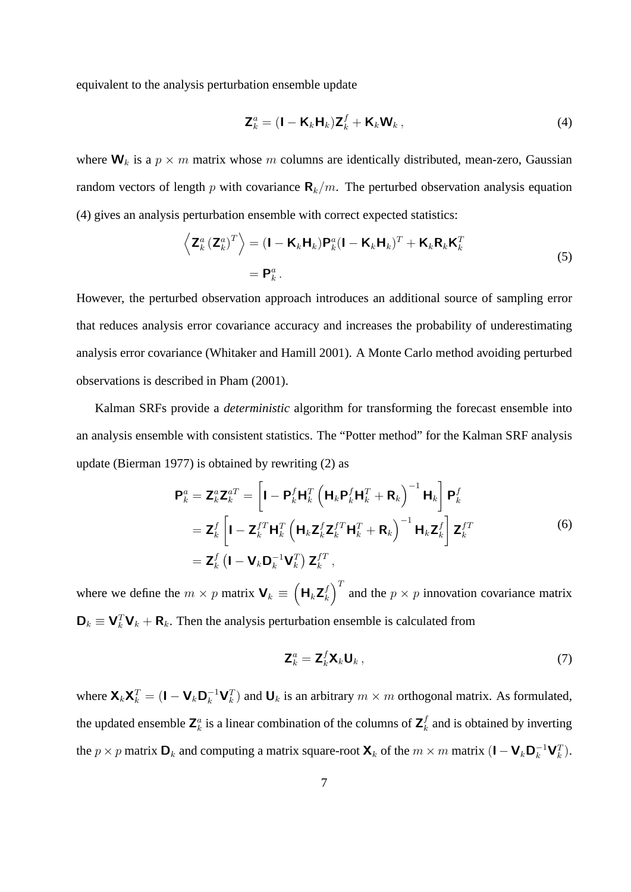equivalent to the analysis perturbation ensemble update

$$
\mathbf{Z}_k^a = (\mathbf{I} - \mathbf{K}_k \mathbf{H}_k) \mathbf{Z}_k^f + \mathbf{K}_k \mathbf{W}_k, \qquad (4)
$$

where  $\mathbf{W}_k$  is a  $p \times m$  matrix whose m columns are identically distributed, mean-zero, Gaussian random vectors of length p with covariance  $\mathbf{R}_k/m$ . The perturbed observation analysis equation (4) gives an analysis perturbation ensemble with correct expected statistics:

$$
\left\langle \mathbf{Z}_{k}^{a} \left( \mathbf{Z}_{k}^{a} \right)^{T} \right\rangle = (\mathbf{I} - \mathbf{K}_{k} \mathbf{H}_{k}) \mathbf{P}_{k}^{a} (\mathbf{I} - \mathbf{K}_{k} \mathbf{H}_{k})^{T} + \mathbf{K}_{k} \mathbf{R}_{k} \mathbf{K}_{k}^{T}
$$
\n
$$
= \mathbf{P}_{k}^{a}.
$$
\n(5)

However, the perturbed observation approach introduces an additional source of sampling error that reduces analysis error covariance accuracy and increases the probability of underestimating analysis error covariance (Whitaker and Hamill 2001). A Monte Carlo method avoiding perturbed observations is described in Pham (2001).

Kalman SRFs provide a *deterministic* algorithm for transforming the forecast ensemble into an analysis ensemble with consistent statistics. The "Potter method" for the Kalman SRF analysis update (Bierman 1977) is obtained by rewriting (2) as

$$
\mathbf{P}_{k}^{a} = \mathbf{Z}_{k}^{a} \mathbf{Z}_{k}^{aT} = \left[ \mathbf{I} - \mathbf{P}_{k}^{f} \mathbf{H}_{k}^{T} \left( \mathbf{H}_{k} \mathbf{P}_{k}^{f} \mathbf{H}_{k}^{T} + \mathbf{R}_{k} \right)^{-1} \mathbf{H}_{k} \right] \mathbf{P}_{k}^{f}
$$
  
\n
$$
= \mathbf{Z}_{k}^{f} \left[ \mathbf{I} - \mathbf{Z}_{k}^{f T} \mathbf{H}_{k}^{T} \left( \mathbf{H}_{k} \mathbf{Z}_{k}^{f} \mathbf{Z}_{k}^{f T} \mathbf{H}_{k}^{T} + \mathbf{R}_{k} \right)^{-1} \mathbf{H}_{k} \mathbf{Z}_{k}^{f} \right] \mathbf{Z}_{k}^{f T}
$$
  
\n
$$
= \mathbf{Z}_{k}^{f} \left( \mathbf{I} - \mathbf{V}_{k} \mathbf{D}_{k}^{-1} \mathbf{V}_{k}^{T} \right) \mathbf{Z}_{k}^{f T}, \qquad (6)
$$

where we define the  $m \times p$  matrix  $\mathbf{V}_k \equiv \left( \mathbf{H}_k \mathbf{Z}_k^f \right)$  $\binom{f}{k}^T$  and the  $p \times p$  innovation covariance matrix  $\mathbf{D}_k \equiv \mathbf{V}_k^T \mathbf{V}_k + \mathbf{R}_k$ . Then the analysis perturbation ensemble is calculated from

$$
\mathbf{Z}_k^a = \mathbf{Z}_k^f \mathbf{X}_k \mathbf{U}_k, \qquad (7)
$$

where  $\mathbf{X}_k \mathbf{X}_k^T = (\mathbf{I} - \mathbf{V}_k \mathbf{D}_k^{-1} \mathbf{V}_k^T)$  and  $\mathbf{U}_k$  is an arbitrary  $m \times m$  orthogonal matrix. As formulated, the updated ensemble  $\mathbf{Z}_k^a$  is a linear combination of the columns of  $\mathbf{Z}_k^f$  $k \atop k$  and is obtained by inverting the  $p \times p$  matrix  $\mathbf{D}_k$  and computing a matrix square-root  $\mathbf{X}_k$  of the  $m \times m$  matrix  $(\mathbf{I} - \mathbf{V}_k \mathbf{D}_k^{-1} \mathbf{V}_k^T)$ .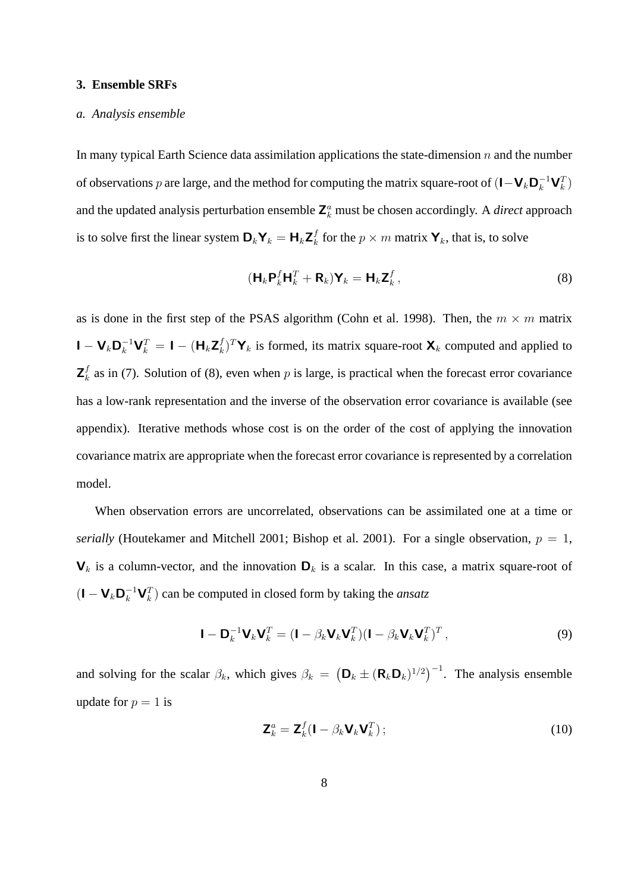#### **3. Ensemble SRFs**

#### *a. Analysis ensemble*

In many typical Earth Science data assimilation applications the state-dimension  $n$  and the number of observations p are large, and the method for computing the matrix square-root of  $(I - V_k D_k^{-1} V_k^T)$ and the updated analysis perturbation ensemble  $\mathbb{Z}_k^a$  must be chosen accordingly. A *direct* approach is to solve first the linear system  $\mathbf{D}_k \mathbf{Y}_k = \mathbf{H}_k \mathbf{Z}_k^{\dagger}$  $\frac{d}{k}$  for the  $p \times m$  matrix  $\mathbf{Y}_k$ , that is, to solve

$$
(\mathbf{H}_k \mathbf{P}_k^f \mathbf{H}_k^T + \mathbf{R}_k) \mathbf{Y}_k = \mathbf{H}_k \mathbf{Z}_k^f, \qquad (8)
$$

as is done in the first step of the PSAS algorithm (Cohn et al. 1998). Then, the  $m \times m$  matrix  $\mathbf{I} - \mathbf{V}_k \mathbf{D}_k^{-1} \mathbf{V}_k^T = \mathbf{I} - (\mathbf{H}_k \mathbf{Z}_k^f)$  $\mathbf{X}_k^{f}$  or  $\mathbf{Y}_k$  is formed, its matrix square-root  $\mathbf{X}_k$  computed and applied to  $\mathsf{Z}_k^f$  $k<sub>k</sub>$  as in (7). Solution of (8), even when p is large, is practical when the forecast error covariance has a low-rank representation and the inverse of the observation error covariance is available (see appendix). Iterative methods whose cost is on the order of the cost of applying the innovation covariance matrix are appropriate when the forecast error covariance is represented by a correlation model.

When observation errors are uncorrelated, observations can be assimilated one at a time or *serially* (Houtekamer and Mitchell 2001; Bishop et al. 2001). For a single observation,  $p = 1$ ,  $\mathbf{V}_k$  is a column-vector, and the innovation  $\mathbf{D}_k$  is a scalar. In this case, a matrix square-root of  $($ **I**  $-$  **V**<sub>k</sub> $D_k^{-1}V_k^T$ ) can be computed in closed form by taking the *ansatz* 

$$
\mathbf{I} - \mathbf{D}_k^{-1} \mathbf{V}_k \mathbf{V}_k^T = (\mathbf{I} - \beta_k \mathbf{V}_k \mathbf{V}_k^T)(\mathbf{I} - \beta_k \mathbf{V}_k \mathbf{V}_k^T)^T, \qquad (9)
$$

and solving for the scalar  $\beta_k$ , which gives  $\beta_k = (\mathbf{D}_k \pm (\mathbf{R}_k \mathbf{D}_k)^{1/2})^{-1}$ . The analysis ensemble update for  $p = 1$  is

$$
\mathbf{Z}_k^a = \mathbf{Z}_k^f (\mathbf{I} - \beta_k \mathbf{V}_k \mathbf{V}_k^T); \tag{10}
$$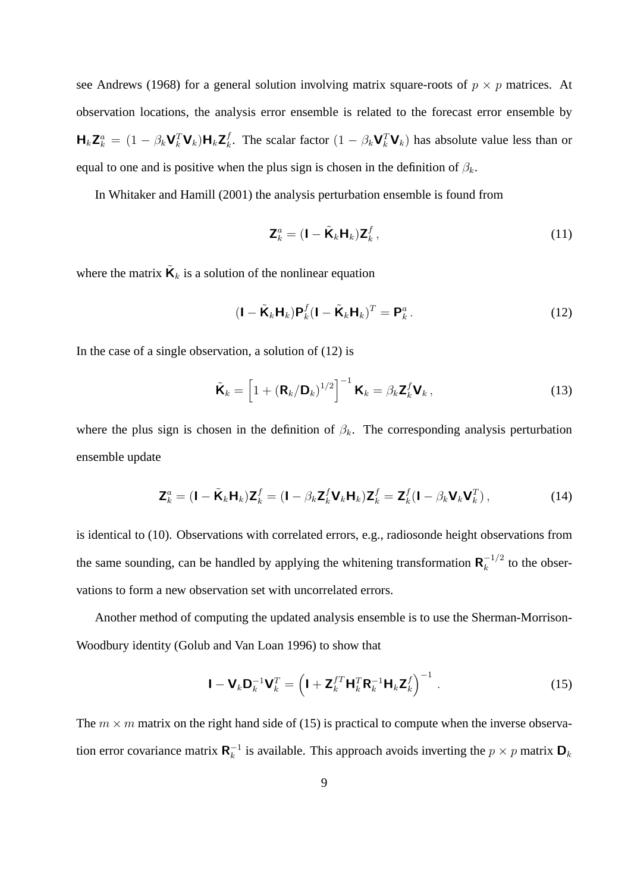see Andrews (1968) for a general solution involving matrix square-roots of  $p \times p$  matrices. At observation locations, the analysis error ensemble is related to the forecast error ensemble by  $\mathbf{H}_k \mathbf{Z}_k^a = (1 - \beta_k \mathbf{V}_k^T \mathbf{V}_k) \mathbf{H}_k \mathbf{Z}_k^f$ <sup>f</sup><sub>k</sub>. The scalar factor  $(1 - \beta_k \mathbf{V}_k^T \mathbf{V}_k)$  has absolute value less than or equal to one and is positive when the plus sign is chosen in the definition of  $\beta_k$ .

In Whitaker and Hamill (2001) the analysis perturbation ensemble is found from

$$
\mathbf{Z}_k^a = (\mathbf{I} - \tilde{\mathbf{K}}_k \mathbf{H}_k) \mathbf{Z}_k^f, \tag{11}
$$

where the matrix  $\tilde{\mathbf{K}}_k$  is a solution of the nonlinear equation

$$
(\mathbf{I} - \tilde{\mathbf{K}}_k \mathbf{H}_k) \mathbf{P}_k^f (\mathbf{I} - \tilde{\mathbf{K}}_k \mathbf{H}_k)^T = \mathbf{P}_k^a.
$$
 (12)

In the case of a single observation, a solution of (12) is

$$
\tilde{\mathbf{K}}_k = \left[1 + \left(\mathbf{R}_k/\mathbf{D}_k\right)^{1/2}\right]^{-1} \mathbf{K}_k = \beta_k \mathbf{Z}_k^f \mathbf{V}_k, \qquad (13)
$$

where the plus sign is chosen in the definition of  $\beta_k$ . The corresponding analysis perturbation ensemble update

$$
\mathbf{Z}_{k}^{a} = (\mathbf{I} - \tilde{\mathbf{K}}_{k} \mathbf{H}_{k}) \mathbf{Z}_{k}^{f} = (\mathbf{I} - \beta_{k} \mathbf{Z}_{k}^{f} \mathbf{V}_{k} \mathbf{H}_{k}) \mathbf{Z}_{k}^{f} = \mathbf{Z}_{k}^{f} (\mathbf{I} - \beta_{k} \mathbf{V}_{k} \mathbf{V}_{k}^{T}),
$$
(14)

is identical to (10). Observations with correlated errors, e.g., radiosonde height observations from the same sounding, can be handled by applying the whitening transformation  $\mathbf{R}_k^{-1/2}$  $\frac{1}{k}$  to the observations to form a new observation set with uncorrelated errors.

Another method of computing the updated analysis ensemble is to use the Sherman-Morrison-Woodbury identity (Golub and Van Loan 1996) to show that

$$
\mathbf{I} - \mathbf{V}_k \mathbf{D}_k^{-1} \mathbf{V}_k^T = \left( \mathbf{I} + \mathbf{Z}_k^{fT} \mathbf{H}_k^T \mathbf{R}_k^{-1} \mathbf{H}_k \mathbf{Z}_k^f \right)^{-1} .
$$
 (15)

The  $m \times m$  matrix on the right hand side of (15) is practical to compute when the inverse observation error covariance matrix  $R_k^{-1}$  $k^{-1}$  is available. This approach avoids inverting the  $p \times p$  matrix  $\mathbf{D}_k$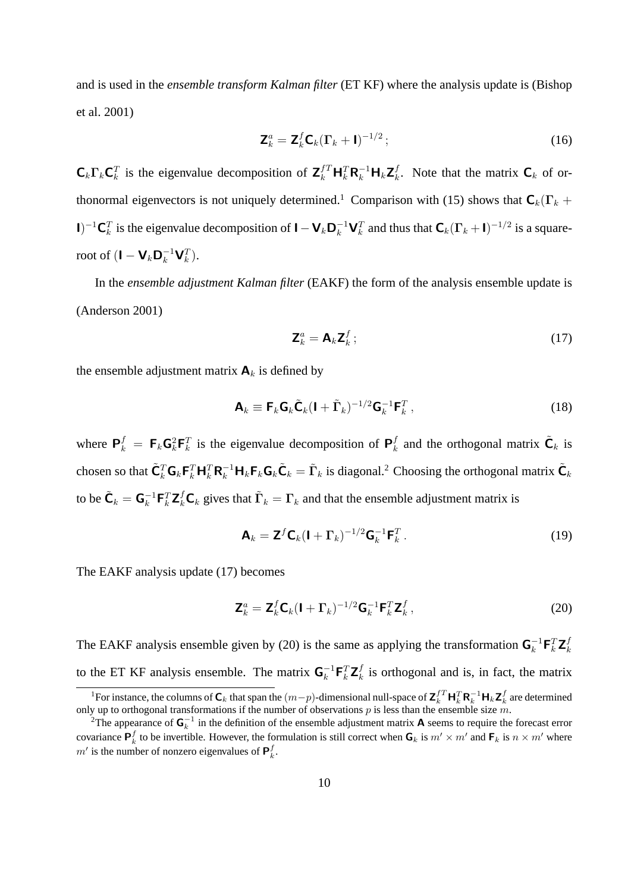and is used in the *ensemble transform Kalman filter* (ET KF) where the analysis update is (Bishop et al. 2001)

$$
\mathbf{Z}_k^a = \mathbf{Z}_k^f \mathbf{C}_k (\Gamma_k + \mathbf{I})^{-1/2};
$$
\n(16)

 $C_k \Gamma_k C_k^T$  is the eigenvalue decomposition of  $\mathbf{Z}_k^{fT} \mathbf{H}_k^T \mathbf{R}_k^{-1} \mathbf{H}_k \mathbf{Z}_k^f$ <sup>*I*</sup><sub>*k*</sub>. Note that the matrix  $\mathbf{C}_k$  of orthonormal eigenvectors is not uniquely determined.<sup>1</sup> Comparison with (15) shows that  $C_k(\Gamma_k +$ I)<sup>-1</sup>C<sup>T</sup><sub>k</sub> is the eigenvalue decomposition of **I** − **V**<sub>k</sub>D<sub>k</sub><sup>-1</sup>**V**<sub>k</sub><sup>T</sup><sup>π</sup> and thus that C<sub>k</sub>(Γ<sub>k</sub> + I)<sup>-1/2</sup> is a squareroot of  $(\mathbf{I} - \mathbf{V}_k \mathbf{D}_k^{-1} \mathbf{V}_k^T)$ .

In the *ensemble adjustment Kalman filter* (EAKF) the form of the analysis ensemble update is (Anderson 2001)

$$
\mathbf{Z}_k^a = \mathbf{A}_k \mathbf{Z}_k^f ; \tag{17}
$$

the ensemble adjustment matrix  $A_k$  is defined by

$$
\mathbf{A}_k \equiv \mathbf{F}_k \mathbf{G}_k \tilde{\mathbf{C}}_k (\mathbf{I} + \tilde{\mathbf{\Gamma}}_k)^{-1/2} \mathbf{G}_k^{-1} \mathbf{F}_k^T ,
$$
\n(18)

where  $P_k^f = F_k G_k^2 F_k^T$  is the eigenvalue decomposition of  $P_k^f$  $\tilde{\mathbf{c}}_k$  and the orthogonal matrix  $\tilde{\mathbf{C}}_k$  is chosen so that  $\tilde{\mathbf{C}}_k^T \mathbf{G}_k \mathbf{F}_k^T \mathbf{H}_k^T \mathbf{R}_k^{-1} \mathbf{H}_k \mathbf{F}_k \mathbf{G}_k \tilde{\mathbf{C}}_k = \tilde{\mathbf{\Gamma}}_k$  is diagonal.<sup>2</sup> Choosing the orthogonal matrix  $\tilde{\mathbf{C}}_k$ to be  $\tilde{\mathbf{C}}_k = \mathbf{G}_k^{-1} \mathbf{F}_k^T \mathbf{Z}_k^f \mathbf{C}_k$  gives that  $\tilde{\mathbf{\Gamma}}_k = \mathbf{\Gamma}_k$  and that the ensemble adjustment matrix is

$$
\mathbf{A}_k = \mathbf{Z}^f \mathbf{C}_k (\mathbf{I} + \mathbf{\Gamma}_k)^{-1/2} \mathbf{G}_k^{-1} \mathbf{F}_k^T.
$$
 (19)

The EAKF analysis update (17) becomes

$$
\mathbf{Z}_{k}^{a} = \mathbf{Z}_{k}^{f} \mathbf{C}_{k} (\mathbf{I} + \mathbf{\Gamma}_{k})^{-1/2} \mathbf{G}_{k}^{-1} \mathbf{F}_{k}^{T} \mathbf{Z}_{k}^{f}, \qquad (20)
$$

The EAKF analysis ensemble given by (20) is the same as applying the transformation  $G_k^{-1}F_k^T Z_k^f$ k to the ET KF analysis ensemble. The matrix  $G_k^{-1}F_k^T Z_k^f$  $\frac{J}{k}$  is orthogonal and is, in fact, the matrix

<sup>&</sup>lt;sup>1</sup>For instance, the columns of  $C_k$  that span the  $(m-p)$ -dimensional null-space of  $\mathbf{Z}_k^{f} \mathbf{H}_k^T \mathbf{R}_k^{-1} \mathbf{H}_k \mathbf{Z}_k^f$  are determined only up to orthogonal transformations if the number of observations  $p$  is less than the ensemble size  $m$ .

<sup>&</sup>lt;sup>2</sup>The appearance of  $G_k^{-1}$  in the definition of the ensemble adjustment matrix **A** seems to require the forecast error covariance  $P_k^f$  to be invertible. However, the formulation is still correct when  $G_k$  is  $m' \times m'$  and  $F_k$  is  $n \times m'$  where  $m'$  is the number of nonzero eigenvalues of  $P_k^f$ .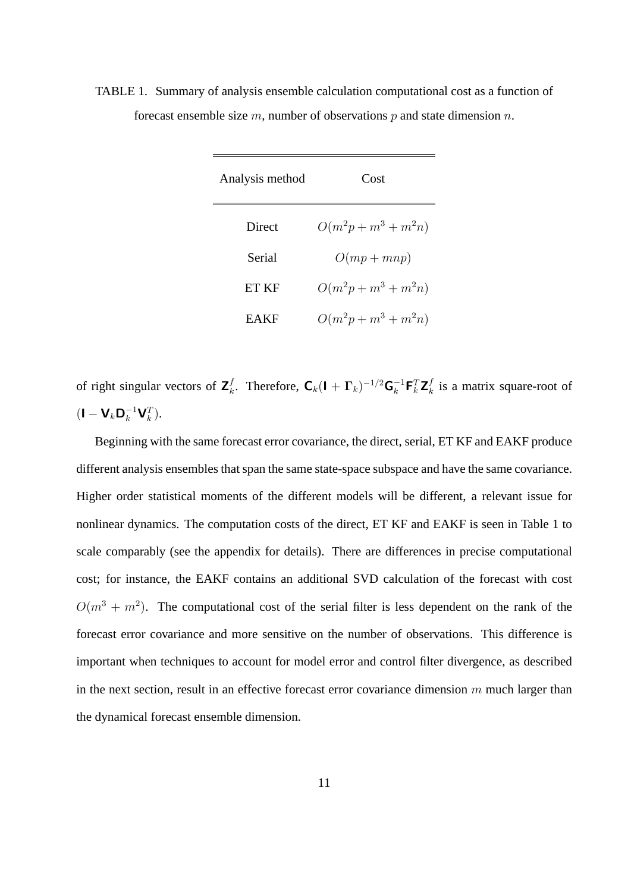TABLE 1. Summary of analysis ensemble calculation computational cost as a function of forecast ensemble size  $m$ , number of observations  $p$  and state dimension  $n$ .

| Analysis method | Cost                   |
|-----------------|------------------------|
| Direct          | $O(m^2p + m^3 + m^2n)$ |
| Serial          | $O(mp + mnp)$          |
| ET KF           | $O(m^2p + m^3 + m^2n)$ |
|                 | $O(m^2p + m^3 + m^2n)$ |

of right singular vectors of  $\mathsf{Z}_{k}^{f}$ <sup>f</sup><sub>k</sub>. Therefore,  $\mathbf{C}_k(\mathbf{l} + \mathbf{\Gamma}_k)^{-1/2} \mathbf{G}_k^{-1} \mathbf{F}_k^T \mathbf{Z}_k^f$  $\frac{J}{k}$  is a matrix square-root of  $(\mathbf{I}-\mathbf{V}_k\mathbf{D}_k^{-1}\mathbf{V}_k^T).$ 

Beginning with the same forecast error covariance, the direct, serial, ET KF and EAKF produce different analysis ensembles that span the same state-space subspace and have the same covariance. Higher order statistical moments of the different models will be different, a relevant issue for nonlinear dynamics. The computation costs of the direct, ET KF and EAKF is seen in Table 1 to scale comparably (see the appendix for details). There are differences in precise computational cost; for instance, the EAKF contains an additional SVD calculation of the forecast with cost  $O(m^3 + m^2)$ . The computational cost of the serial filter is less dependent on the rank of the forecast error covariance and more sensitive on the number of observations. This difference is important when techniques to account for model error and control filter divergence, as described in the next section, result in an effective forecast error covariance dimension  $m$  much larger than the dynamical forecast ensemble dimension.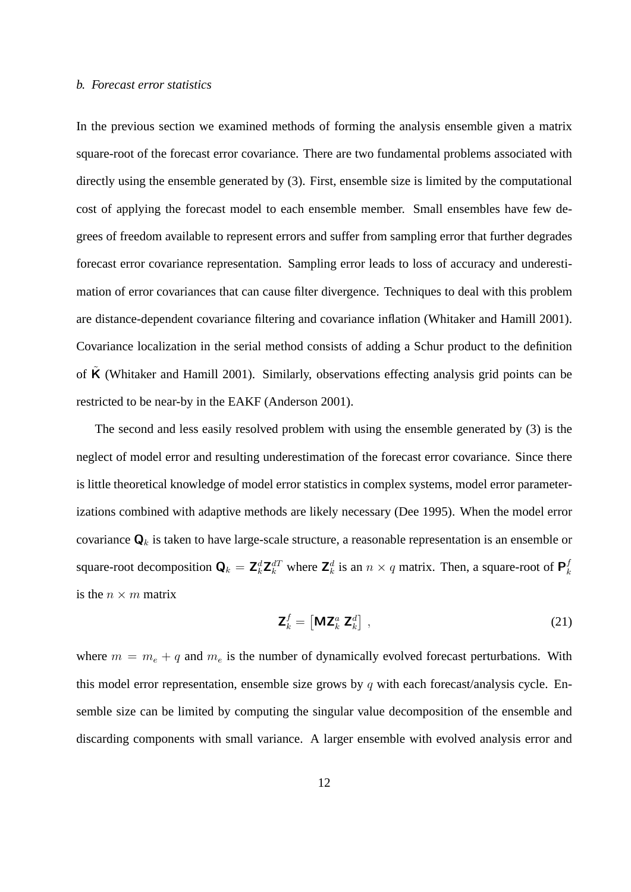## *b. Forecast error statistics*

In the previous section we examined methods of forming the analysis ensemble given a matrix square-root of the forecast error covariance. There are two fundamental problems associated with directly using the ensemble generated by (3). First, ensemble size is limited by the computational cost of applying the forecast model to each ensemble member. Small ensembles have few degrees of freedom available to represent errors and suffer from sampling error that further degrades forecast error covariance representation. Sampling error leads to loss of accuracy and underestimation of error covariances that can cause filter divergence. Techniques to deal with this problem are distance-dependent covariance filtering and covariance inflation (Whitaker and Hamill 2001). Covariance localization in the serial method consists of adding a Schur product to the definition of K (Whitaker and Hamill 2001). Similarly, observations effecting analysis grid points can be restricted to be near-by in the EAKF (Anderson 2001).

The second and less easily resolved problem with using the ensemble generated by (3) is the neglect of model error and resulting underestimation of the forecast error covariance. Since there is little theoretical knowledge of model error statistics in complex systems, model error parameterizations combined with adaptive methods are likely necessary (Dee 1995). When the model error covariance  $\mathbf{Q}_k$  is taken to have large-scale structure, a reasonable representation is an ensemble or square-root decomposition  $\mathbf{Q}_k = \mathbf{Z}_k^d \mathbf{Z}_k^{dT}$  where  $\mathbf{Z}_k^d$  is an  $n \times q$  matrix. Then, a square-root of  $\mathbf{P}_k^f$ k is the  $n \times m$  matrix

$$
\mathbf{Z}_k^f = \left[ \mathbf{M} \mathbf{Z}_k^a \ \mathbf{Z}_k^d \right] \,, \tag{21}
$$

where  $m = m_e + q$  and  $m_e$  is the number of dynamically evolved forecast perturbations. With this model error representation, ensemble size grows by  $q$  with each forecast/analysis cycle. Ensemble size can be limited by computing the singular value decomposition of the ensemble and discarding components with small variance. A larger ensemble with evolved analysis error and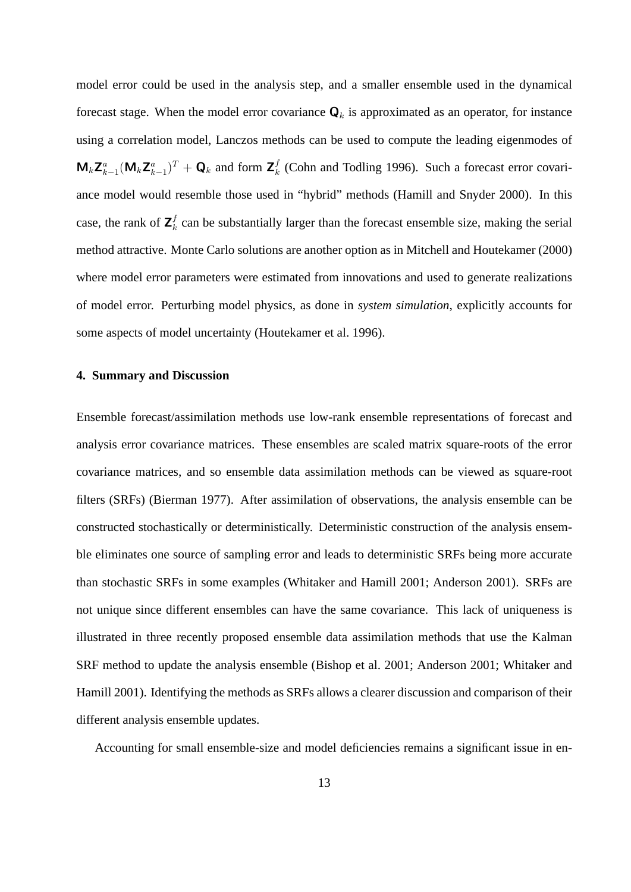model error could be used in the analysis step, and a smaller ensemble used in the dynamical forecast stage. When the model error covariance  $\mathbf{Q}_k$  is approximated as an operator, for instance using a correlation model, Lanczos methods can be used to compute the leading eigenmodes of  $\mathbf{M}_k \mathbf{Z}_{k-1}^a (\mathbf{M}_k \mathbf{Z}_{k-1}^a)^T + \mathbf{Q}_k$  and form  $\mathbf{Z}_k^f$  $k \nvert k$  (Cohn and Todling 1996). Such a forecast error covariance model would resemble those used in "hybrid" methods (Hamill and Snyder 2000). In this case, the rank of  $\mathsf{Z}_{k}^{f}$  $k<sub>k</sub>$  can be substantially larger than the forecast ensemble size, making the serial method attractive. Monte Carlo solutions are another option as in Mitchell and Houtekamer (2000) where model error parameters were estimated from innovations and used to generate realizations of model error. Perturbing model physics, as done in *system simulation*, explicitly accounts for some aspects of model uncertainty (Houtekamer et al. 1996).

## **4. Summary and Discussion**

Ensemble forecast/assimilation methods use low-rank ensemble representations of forecast and analysis error covariance matrices. These ensembles are scaled matrix square-roots of the error covariance matrices, and so ensemble data assimilation methods can be viewed as square-root filters (SRFs) (Bierman 1977). After assimilation of observations, the analysis ensemble can be constructed stochastically or deterministically. Deterministic construction of the analysis ensemble eliminates one source of sampling error and leads to deterministic SRFs being more accurate than stochastic SRFs in some examples (Whitaker and Hamill 2001; Anderson 2001). SRFs are not unique since different ensembles can have the same covariance. This lack of uniqueness is illustrated in three recently proposed ensemble data assimilation methods that use the Kalman SRF method to update the analysis ensemble (Bishop et al. 2001; Anderson 2001; Whitaker and Hamill 2001). Identifying the methods as SRFs allows a clearer discussion and comparison of their different analysis ensemble updates.

Accounting for small ensemble-size and model deficiencies remains a significant issue in en-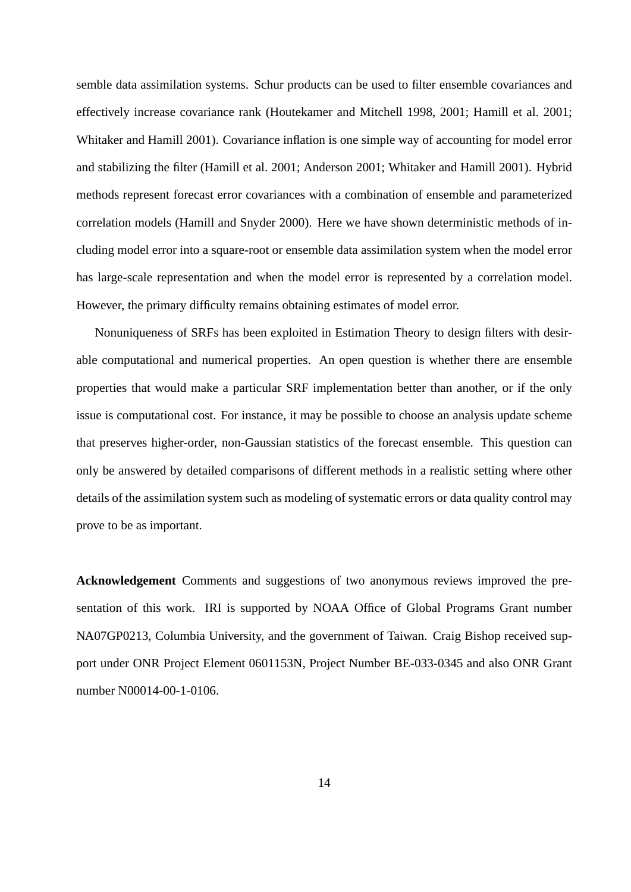semble data assimilation systems. Schur products can be used to filter ensemble covariances and effectively increase covariance rank (Houtekamer and Mitchell 1998, 2001; Hamill et al. 2001; Whitaker and Hamill 2001). Covariance inflation is one simple way of accounting for model error and stabilizing the filter (Hamill et al. 2001; Anderson 2001; Whitaker and Hamill 2001). Hybrid methods represent forecast error covariances with a combination of ensemble and parameterized correlation models (Hamill and Snyder 2000). Here we have shown deterministic methods of including model error into a square-root or ensemble data assimilation system when the model error has large-scale representation and when the model error is represented by a correlation model. However, the primary difficulty remains obtaining estimates of model error.

Nonuniqueness of SRFs has been exploited in Estimation Theory to design filters with desirable computational and numerical properties. An open question is whether there are ensemble properties that would make a particular SRF implementation better than another, or if the only issue is computational cost. For instance, it may be possible to choose an analysis update scheme that preserves higher-order, non-Gaussian statistics of the forecast ensemble. This question can only be answered by detailed comparisons of different methods in a realistic setting where other details of the assimilation system such as modeling of systematic errors or data quality control may prove to be as important.

**Acknowledgement** Comments and suggestions of two anonymous reviews improved the presentation of this work. IRI is supported by NOAA Office of Global Programs Grant number NA07GP0213, Columbia University, and the government of Taiwan. Craig Bishop received support under ONR Project Element 0601153N, Project Number BE-033-0345 and also ONR Grant number N00014-00-1-0106.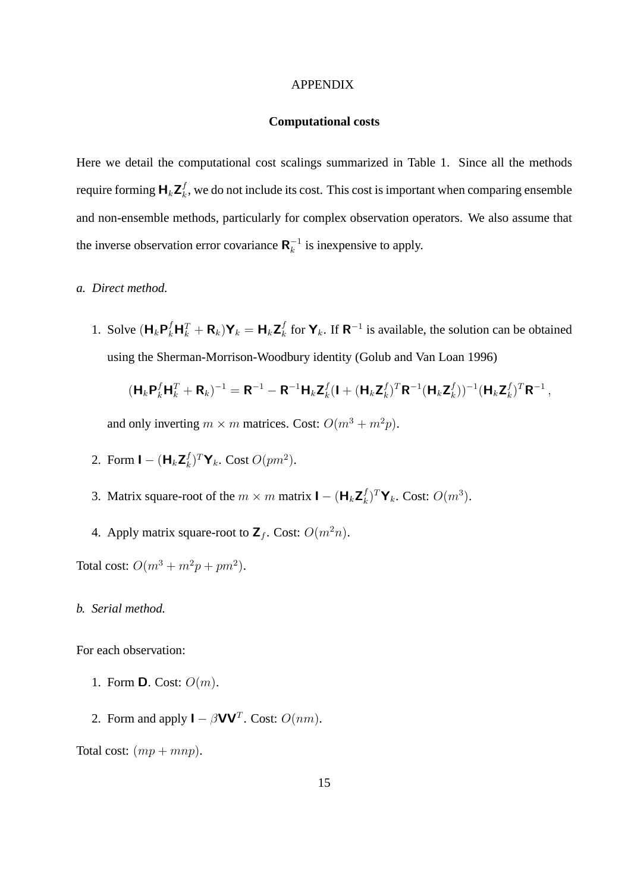#### APPENDIX

## **Computational costs**

Here we detail the computational cost scalings summarized in Table 1. Since all the methods require forming  $\mathbf{H}_k \mathbf{Z}_k^f$  $k$ , we do not include its cost. This cost is important when comparing ensemble and non-ensemble methods, particularly for complex observation operators. We also assume that the inverse observation error covariance  $\mathbf{R}_k^{-1}$  $\overline{k}^{\perp}$  is inexpensive to apply.

# *a. Direct method.*

1. Solve  $(\mathbf{H}_k \mathbf{P}_k^f \mathbf{H}_k^T + \mathbf{R}_k) \mathbf{Y}_k = \mathbf{H}_k \mathbf{Z}_k^f$  $\mathbf{F}_k^f$  for  $\mathbf{Y}_k$ . If  $\mathbf{R}^{-1}$  is available, the solution can be obtained using the Sherman-Morrison-Woodbury identity (Golub and Van Loan 1996)

$$
(\mathbf{H}_k \mathbf{P}_k^f \mathbf{H}_k^T + \mathbf{R}_k)^{-1} = \mathbf{R}^{-1} - \mathbf{R}^{-1} \mathbf{H}_k \mathbf{Z}_k^f (\mathbf{I} + (\mathbf{H}_k \mathbf{Z}_k^f)^T \mathbf{R}^{-1} (\mathbf{H}_k \mathbf{Z}_k^f))^{-1} (\mathbf{H}_k \mathbf{Z}_k^f)^T \mathbf{R}^{-1},
$$

and only inverting  $m \times m$  matrices. Cost:  $O(m^3 + m^2p)$ .

2. Form 
$$
\mathbf{I} - (\mathbf{H}_k \mathbf{Z}_k^f)^T \mathbf{Y}_k
$$
. Cost  $O(pm^2)$ .

- 3. Matrix square-root of the  $m \times m$  matrix  $\mathbf{I} (\mathbf{H}_k \mathbf{Z}_k^T)$  $_{k}^{f})^{T}\mathbf{Y}_{k}$ . Cost:  $O(m^{3})$ .
- 4. Apply matrix square-root to  $\mathbf{Z}_f$ . Cost:  $O(m^2n)$ .

Total cost:  $O(m^3 + m^2p + pm^2)$ .

# *b. Serial method.*

For each observation:

- 1. Form  $\mathbf{D}$ . Cost:  $O(m)$ .
- 2. Form and apply  $\mathbf{I} \beta \mathbf{V} \mathbf{V}^T$ . Cost:  $O(nm)$ .

Total cost:  $(mp + mnp)$ .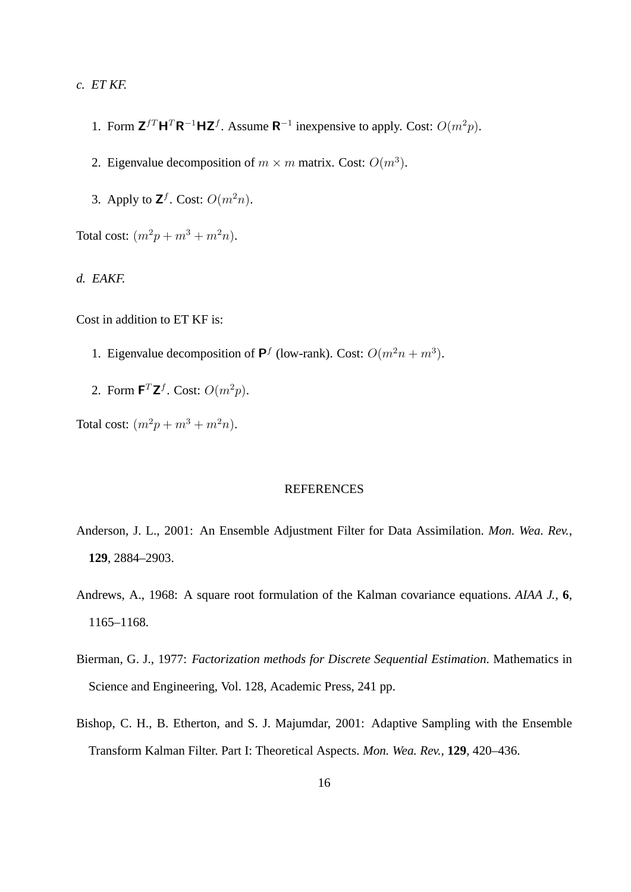# *c. ET KF.*

- 1. Form  $Z^{f}H^{T}R^{-1}HZ^{f}$ . Assume  $R^{-1}$  inexpensive to apply. Cost:  $O(m^{2}p)$ .
- 2. Eigenvalue decomposition of  $m \times m$  matrix. Cost:  $O(m^3)$ .
- 3. Apply to  $\mathsf{Z}^f$ . Cost:  $O(m^2n)$ .

Total cost:  $(m^2p + m^3 + m^2n)$ .

# *d. EAKF.*

Cost in addition to ET KF is:

- 1. Eigenvalue decomposition of  $\mathbf{P}^f$  (low-rank). Cost:  $O(m^2n + m^3)$ .
- 2. Form  $\mathbf{F}^T \mathbf{Z}^f$ . Cost:  $O(m^2p)$ .

Total cost:  $(m^2p + m^3 + m^2n)$ .

## REFERENCES

- Anderson, J. L., 2001: An Ensemble Adjustment Filter for Data Assimilation. *Mon. Wea. Rev.*, **129**, 2884–2903.
- Andrews, A., 1968: A square root formulation of the Kalman covariance equations. *AIAA J.*, **6**, 1165–1168.
- Bierman, G. J., 1977: *Factorization methods for Discrete Sequential Estimation*. Mathematics in Science and Engineering, Vol. 128, Academic Press, 241 pp.
- Bishop, C. H., B. Etherton, and S. J. Majumdar, 2001: Adaptive Sampling with the Ensemble Transform Kalman Filter. Part I: Theoretical Aspects. *Mon. Wea. Rev.*, **129**, 420–436.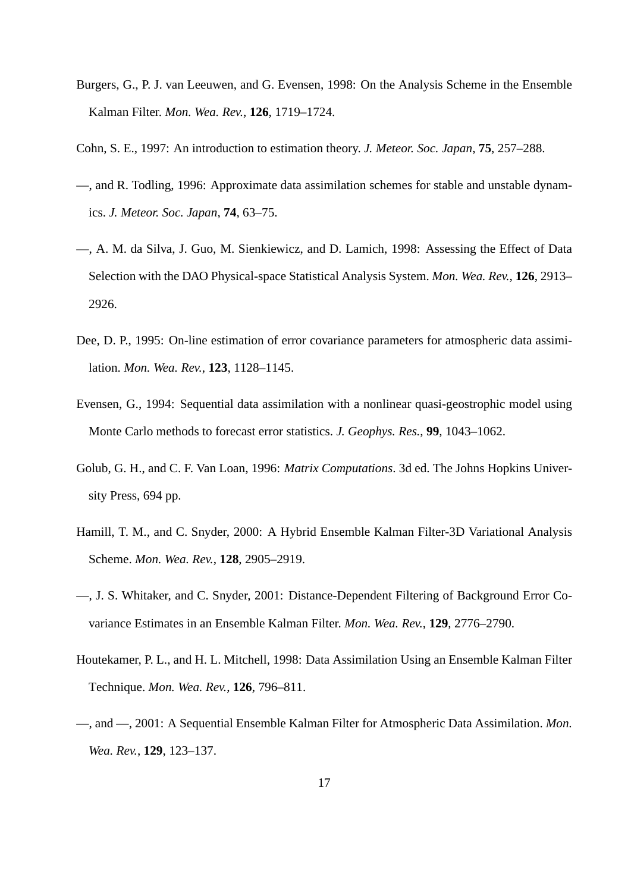- Burgers, G., P. J. van Leeuwen, and G. Evensen, 1998: On the Analysis Scheme in the Ensemble Kalman Filter. *Mon. Wea. Rev.*, **126**, 1719–1724.
- Cohn, S. E., 1997: An introduction to estimation theory. *J. Meteor. Soc. Japan*, **75**, 257–288.
- —, and R. Todling, 1996: Approximate data assimilation schemes for stable and unstable dynamics. *J. Meteor. Soc. Japan*, **74**, 63–75.
- —, A. M. da Silva, J. Guo, M. Sienkiewicz, and D. Lamich, 1998: Assessing the Effect of Data Selection with the DAO Physical-space Statistical Analysis System. *Mon. Wea. Rev.*, **126**, 2913– 2926.
- Dee, D. P., 1995: On-line estimation of error covariance parameters for atmospheric data assimilation. *Mon. Wea. Rev.*, **123**, 1128–1145.
- Evensen, G., 1994: Sequential data assimilation with a nonlinear quasi-geostrophic model using Monte Carlo methods to forecast error statistics. *J. Geophys. Res.*, **99**, 1043–1062.
- Golub, G. H., and C. F. Van Loan, 1996: *Matrix Computations*. 3d ed. The Johns Hopkins University Press, 694 pp.
- Hamill, T. M., and C. Snyder, 2000: A Hybrid Ensemble Kalman Filter-3D Variational Analysis Scheme. *Mon. Wea. Rev.*, **128**, 2905–2919.
- —, J. S. Whitaker, and C. Snyder, 2001: Distance-Dependent Filtering of Background Error Covariance Estimates in an Ensemble Kalman Filter. *Mon. Wea. Rev.*, **129**, 2776–2790.
- Houtekamer, P. L., and H. L. Mitchell, 1998: Data Assimilation Using an Ensemble Kalman Filter Technique. *Mon. Wea. Rev.*, **126**, 796–811.
- —, and —, 2001: A Sequential Ensemble Kalman Filter for Atmospheric Data Assimilation. *Mon. Wea. Rev.*, **129**, 123–137.